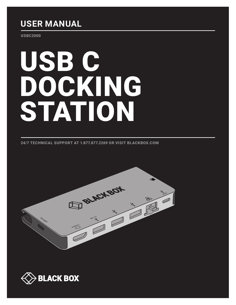## **USER MANUAL**

USBC2000

# USB C DOCKING STATION

24/7 TECHNICAL SUPPORT AT 1.877.877.2269 OR VISIT BLACKBOX.COM



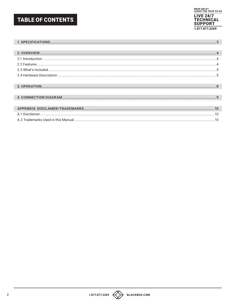## **TABLE OF CONTENTS**



| 10 |
|----|
| 10 |
|    |



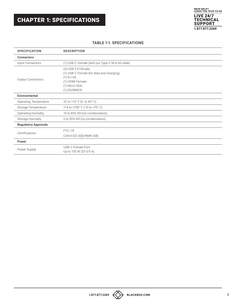

#### TABLE 1-1. SPECIFICATIONS

<span id="page-2-0"></span>

| <b>SPECIFICATION</b>         | <b>DESCRIPTION</b>                                                                                                                      |  |  |
|------------------------------|-----------------------------------------------------------------------------------------------------------------------------------------|--|--|
| <b>Connectors</b>            |                                                                                                                                         |  |  |
| Input Connectors             | (1) USB-C Female (with our Type-C M to M cable)                                                                                         |  |  |
| Output Connectors            | (3) USB 3.0 Female;<br>(1) USB-C Female (for data and charging);<br>$(1)$ RJ-45;<br>(1) HDMI Female;<br>(1) Micro SDX;<br>$(1)$ SD/MMCX |  |  |
| Environmental                |                                                                                                                                         |  |  |
| <b>Operating Temperature</b> | 32 to 113° F (0 to 45° C)                                                                                                               |  |  |
| Storage Temperature          | +14 to +158° F (-10 to +70° C)                                                                                                          |  |  |
| <b>Operating Humidity</b>    | 10 to 85% RH (no condensation)                                                                                                          |  |  |
| Storage Humidity             | 5 to 90% RH (no condensation)                                                                                                           |  |  |
| <b>Regulatory Approvals</b>  |                                                                                                                                         |  |  |
| Certifications               | FCC, CE                                                                                                                                 |  |  |
|                              | CAN ICES-3(B)/NMB-3(B)                                                                                                                  |  |  |
| Power                        |                                                                                                                                         |  |  |
| Power Supply                 | USB-C Female Port,<br>Up to 100 W (20 V/5 A)                                                                                            |  |  |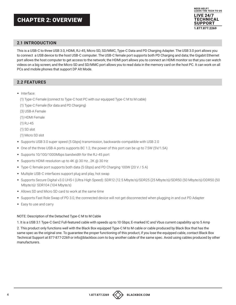## <span id="page-3-0"></span>CHAPTER 2: OVERVIEW



#### <span id="page-3-1"></span>**2.1 INTRODUCTION**

This is a USB-C to three USB 3.0, HDMI, RJ-45, Micro SD, SD/MMC, Type-C Data and PD Charging Adapter. The USB 3.0 port allows you to connect a USB device to the host USB-C computer. The USB-C female port supports both PD Charging and data; the Gigabit Ethernet port allows the host computer to get access to the network; the HDMI port allows you to connect an HDMI monitor so that you can watch videos on a big screen; and the Micro SD and SD/MMC port allows you to read data in the memory card on the host PC. It can work on all PCs and mobile phones that support DP Alt Mode.

#### <span id="page-3-2"></span>**2.2 FEATURES**

- Interface:
	- (1) Type-C Female (connect to Type-C host PC with our equipped Type-C M to M cable)
	- (1) Type-C Female (for data and PD Charging)
- (3) USB-A Female
- (1) HDMI Female
- (1) RJ-45
- (1) SD slot
- (1) Micro SD slot
- Supports USB 3.0 super speed (5 Gbps) transmission, backwards-compatible with USB 2.0
- One of the three USB-A ports supports BC 1.2, the power of this port can be up to 7.5W (5V/1.5A)
- Supports 10/100/1000Mbps bandwidth for the RJ-45 port
- ◆ Supports HDMI resolution up to 4K @ 30 Hz, 2K @ 30 Hz
- Type-C female port supports both data (5 Gbps) and PD Charging 100W (20 V / 5 A)
- Multiple USB-C interfaces support plug and play, hot swap
- Supports Secure Digital v3.0 UHS-I (Ultra High Speed): SDR12 (12.5 Mbyte/s)/SDR25 (25 Mbyte/s)/SDR50 (50 Mbyte/s)/DDR50 (50 Mbyte/s)/ SDR104 (104 Mbyte/s)
- Allows SD and Micro SD card to work at the same time
- Supports Fast Role Swap of PD 3.0, the connected device will not get disconnected when plugging in and out PD Adapter
- Easy to use and carry

#### NOTE: Description of the Detached Type-C M to M Cable

1. It is a USB 3.1 Type-C Gen2 Full-featured cable with speeds up to 10 Gbps; E-marked IC and Vbus current capability up to 5 Amp

2. This product only functions well with the Black Box equipped Type-C M to M cable or cable produced by Black Box that has the same spec as the original one. To guarantee the proper functioning of this product, if you lose the equipped cable, contact Black Box Technical Support at 877-877-2269 or info@blackbox.com to buy another cable of the same spec. Avoid using cables produced by other manufacturers.



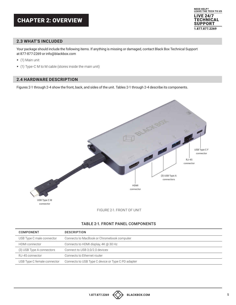

#### **2.3 WHAT'S INCLUDED**

Your package should include the following items. If anything is missing or damaged, contact Black Box Technical Support at 877-877-2269 or info@blackbox.com

- (1) Main unit
- (1) Type-C M to M cable (stores inside the main unit)

#### <span id="page-4-0"></span>**2.4 HARDWARE DESCRIPTION**

Figures 2-1 through 2-4 show the front, back, and sides of the unit. Tables 2-1 through 2-4 describe its components.





#### TABLE 2-1. FRONT PANEL COMPONENTS

| COMPONENT                   | <b>DESCRIPTION</b>                                 |
|-----------------------------|----------------------------------------------------|
| USB Type C male connector   | Connects to MacBook or Chromebook computer         |
| <b>HDMI</b> connector       | Connects to HDMI display, $4K \text{ (a)} 30 Hz$   |
| (3) USB Type A connectors   | Connect to USB 3.0/2.0 devices                     |
| RJ-45 connector             | Connects to Ethernet router                        |
| USB Type C female connector | Connects to USB Type C device or Type C PD adapter |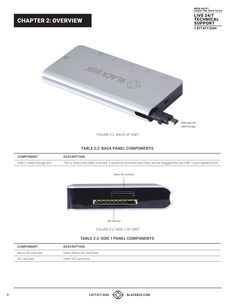## CHAPTER 2: OVERVIEW



FIGURE 2-2. BACK OF UNIT

#### TABLE 2-2. BACK PANEL COMPONENTS

| <b>COMPONENT</b>         | <b>DESCRIPTION</b>                                                                                                |
|--------------------------|-------------------------------------------------------------------------------------------------------------------|
| USB-C cable storage slot | This is where the cable is stored. It would be removed from here and be plugged into the USB-C port labeled Host. |



FIGURE 2-3. SIDE 1 OF UNIT

#### TABLE 2-3. SIDE 1 PANEL COMPONENTS

| COMPONENT          | <b>DESCRIPTION</b>        |
|--------------------|---------------------------|
| Micro SD card slot | Insert Micro SD card here |
| SD card slot       | Insert SD card here       |

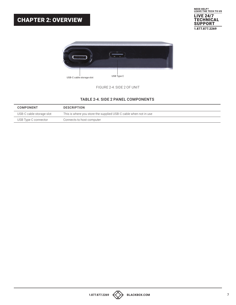### **1.877.877.2269 BLACKBOX.COM 7**







FIGURE 2-4. SIDE 2 OF UNIT

#### TABLE 2-4. SIDE 2 PANEL COMPONENTS

| COMPONENT                | <b>DESCRIPTION</b>                                               |
|--------------------------|------------------------------------------------------------------|
| USB-C cable storage slot | This is where you store the supplied USB-C cable when not in use |
| USB Type C connector     | Connects to host computer                                        |

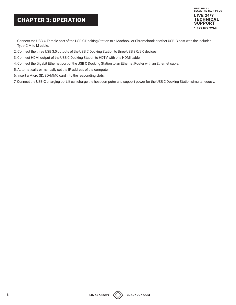## <span id="page-7-0"></span>CHAPTER 3: OPERATION



- 1. Connect the USB-C Female port of the USB C Docking Station to a Macbook or Chromebook or other USB-C host with the included Type-C M to M cable.
- 2. Connect the three USB 3.0 outputs of the USB C Docking Station to three USB 3.0/2.0 devices.
- 3. Connect HDMI output of the USB C Docking Station to HDTV with one HDMI cable.
- 4. Connect the Gigabit Ethernet port of the USB C Docking Station to an Ethernet Router with an Ethernet cable.
- 5. Automatically or manually set the IP address of the computer.
- 6. Insert a Micro SD, SD/MMC card into the responding slots.
- 7. Connect the USB-C charging port, it can charge the host computer and support power for the USB C Docking Station simultaneously.

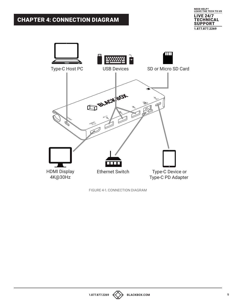## <span id="page-8-0"></span>CHAPTER 4: CONNECTION DIAGRAM





FIGURE 4-1. CONNECTION DIAGRAM

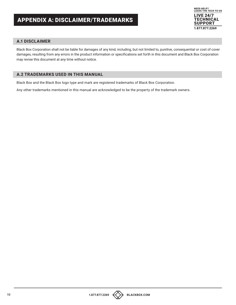

#### <span id="page-9-1"></span><span id="page-9-0"></span>**A.1 DISCLAIMER**

Black Box Corporation shall not be liable for damages of any kind, including, but not limited to, punitive, consequential or cost of cover damages, resulting from any errors in the product information or specifications set forth in this document and Black Box Corporation may revise this document at any time without notice.

#### <span id="page-9-2"></span>**A.2 TRADEMARKS USED IN THIS MANUAL**

Black Box and the Black Box logo type and mark are registered trademarks of Black Box Corporation.

Any other trademarks mentioned in this manual are acknowledged to be the property of the trademark owners.



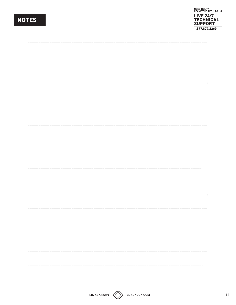## NOTES



| 1.877.877.2269<br>BLACKBOX.COM |  |  |  |  |  |
|--------------------------------|--|--|--|--|--|